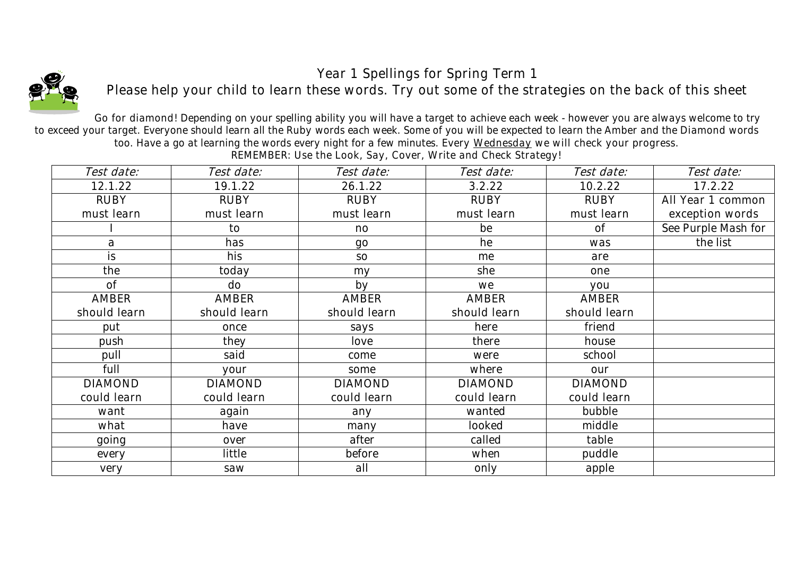## *Year 1 Spellings for Spring Term 1*



*Please help your child to learn these words. Try out some of the strategies on the back of this sheet*

*Go for diamond! Depending on your spelling ability you will have a target to achieve each week - however you are always welcome to try to exceed your target. Everyone should learn all the Ruby words each week. Some of you will be expected to learn the Amber and the Diamond words too. Have a go at learning the words every night for a few minutes. Every Wednesday we will check your progress.* 

| Test date:     | Test date:     | Test date:     | Test date:     | Test date:     | Test date:          |
|----------------|----------------|----------------|----------------|----------------|---------------------|
| 12.1.22        | 19.1.22        | 26.1.22        | 3.2.22         | 10.2.22        | 17.2.22             |
| <b>RUBY</b>    | RUBY           | <b>RUBY</b>    | RUBY           | RUBY           | All Year 1 common   |
| must learn     | must learn     | must learn     | must learn     | must learn     | exception words     |
|                | to             | no             | be             | 0f             | See Purple Mash for |
| a              | has            | $90^{\circ}$   | he             | was            | the list            |
| i <sub>S</sub> | his            | SO             | me             | are            |                     |
| the            | today          | my             | she            | one            |                     |
| 0f             | do             | by             | we             | you            |                     |
| <b>AMBER</b>   | <b>AMBER</b>   | <b>AMBER</b>   | <b>AMBER</b>   | <b>AMBER</b>   |                     |
| should learn   | should learn   | should learn   | should learn   | should learn   |                     |
| put            | once           | says           | here           | friend         |                     |
| push           | they           | love           | there          | house          |                     |
| pull           | said           | come           | were           | school         |                     |
| full           | your           | some           | where          | our            |                     |
| <b>DIAMOND</b> | <b>DIAMOND</b> | <b>DIAMOND</b> | <b>DIAMOND</b> | <b>DIAMOND</b> |                     |
| could learn    | could learn    | could learn    | could learn    | could learn    |                     |
| want           | again          | any            | wanted         | bubble         |                     |
| what           | have           | many           | looked         | middle         |                     |
| going          | over           | after          | called         | table          |                     |
| every          | little         | before         | when           | puddle         |                     |
| very           | saw            | all            | only           | apple          |                     |
|                |                |                |                |                |                     |

*REMEMBER: Use the Look, Say, Cover, Write and Check Strategy!*